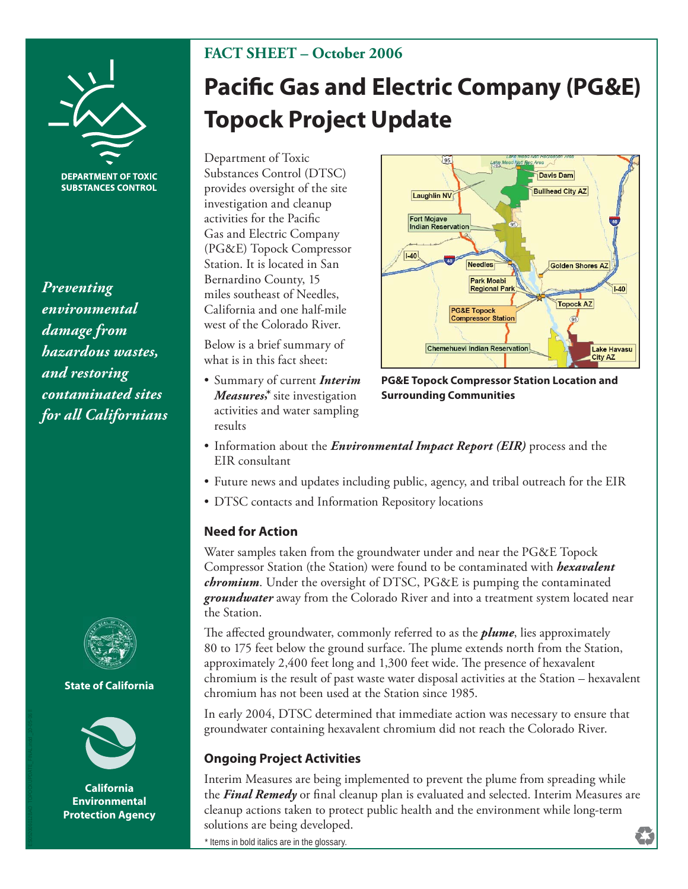

**DEPARTMENT OF TOXIC SUBSTANCES CONTROL** 

*Preventing environmental damage from hazardous wastes, and restoring contaminated sites for all Californians*



### **State of California**



**California Environmental Protection Agency**

# **FACT SHEET – October 2006**

# **Pacific Gas and Electric Company (PG&E) Topock Project Update**

Department of Toxic Substances Control (DTSC) provides oversight of the site investigation and cleanup activities for the Pacific Gas and Electric Company (PG&E) Topock Compressor Station. It is located in San Bernardino County, 15 miles southeast of Needles, California and one half-mile west of the Colorado River.

Below is a brief summary of what is in this fact sheet:

• Summary of current *Interim Measures***,\*** site investigation activities and water sampling results



**PG&E Topock Compressor Station Location and Surrounding Communities**

- Information about the *Environmental Impact Report (EIR)* process and the EIR consultant
- Future news and updates including public, agency, and tribal outreach for the EIR
- DTSC contacts and Information Repository locations

### **Need for Action**

Water samples taken from the groundwater under and near the PG&E Topock Compressor Station (the Station) were found to be contaminated with *hexavalent chromium*. Under the oversight of DTSC, PG&E is pumping the contaminated *groundwater* away from the Colorado River and into a treatment system located near the Station.

The affected groundwater, commonly referred to as the *plume*, lies approximately 80 to 175 feet below the ground surface. The plume extends north from the Station, approximately 2,400 feet long and 1,300 feet wide. The presence of hexavalent chromium is the result of past waste water disposal activities at the Station – hexavalent chromium has not been used at the Station since 1985.

In early 2004, DTSC determined that immediate action was necessary to ensure that groundwater containing hexavalent chromium did not reach the Colorado River.

### **Ongoing Project Activities**

Interim Measures are being implemented to prevent the plume from spreading while the **Final Remedy** or final cleanup plan is evaluated and selected. Interim Measures are cleanup actions taken to protect public health and the environment while long-term solutions are being developed.

\* Items in bold italics are in the glossary.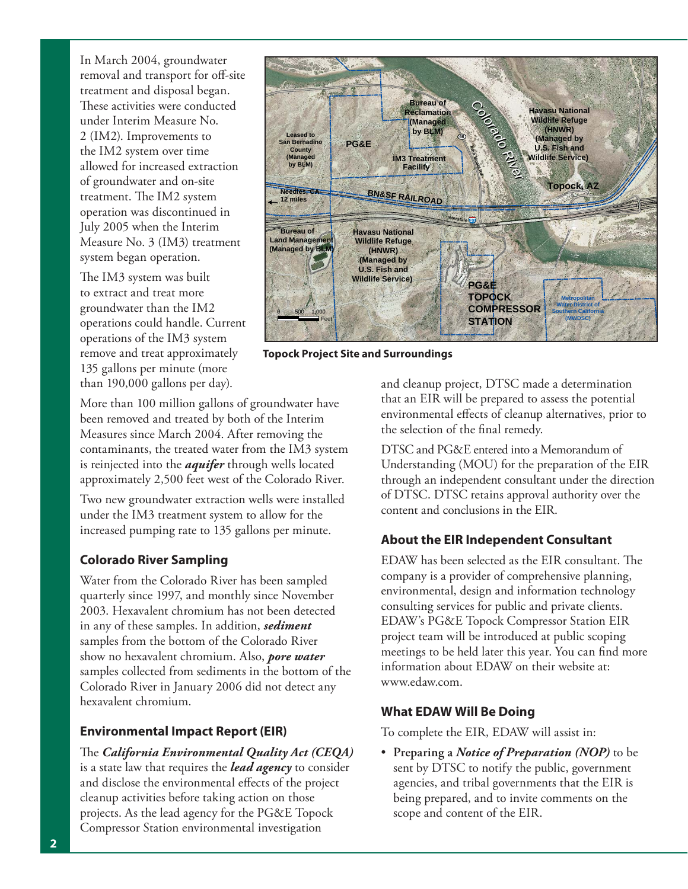In March 2004, groundwater removal and transport for off-site treatment and disposal began. These activities were conducted under Interim Measure No. 2 (IM2). Improvements to the IM2 system over time allowed for increased extraction of groundwater and on-site treatment. The IM2 system operation was discontinued in July 2005 when the Interim Measure No. 3 (IM3) treatment system began operation.

The IM3 system was built to extract and treat more groundwater than the IM2 operations could handle. Current operations of the IM3 system remove and treat approximately 135 gallons per minute (more than 190,000 gallons per day).



**Topock Project Site and Surroundings**

More than 100 million gallons of groundwater have been removed and treated by both of the Interim Measures since March 2004. After removing the contaminants, the treated water from the IM3 system is reinjected into the *aquifer* through wells located approximately 2,500 feet west of the Colorado River.

Two new groundwater extraction wells were installed under the IM3 treatment system to allow for the increased pumping rate to 135 gallons per minute.

## **Colorado River Sampling**

Water from the Colorado River has been sampled quarterly since 1997, and monthly since November 2003. Hexavalent chromium has not been detected in any of these samples. In addition, *sediment* samples from the bottom of the Colorado River show no hexavalent chromium. Also, *pore water* samples collected from sediments in the bottom of the Colorado River in January 2006 did not detect any hexavalent chromium.

## **Environmental Impact Report (EIR)**

The *California Environmental Quality Act* (CEQA) is a state law that requires the *lead agency* to consider and disclose the environmental effects of the project cleanup activities before taking action on those projects. As the lead agency for the PG&E Topock Compressor Station environmental investigation

and cleanup project, DTSC made a determination that an EIR will be prepared to assess the potential environmental effects of cleanup alternatives, prior to the selection of the final remedy.

DTSC and PG&E entered into a Memorandum of Understanding (MOU) for the preparation of the EIR through an independent consultant under the direction of DTSC. DTSC retains approval authority over the content and conclusions in the EIR.

## **About the EIR Independent Consultant**

EDAW has been selected as the EIR consultant. The company is a provider of comprehensive planning, environmental, design and information technology consulting services for public and private clients. EDAW's PG&E Topock Compressor Station EIR project team will be introduced at public scoping meetings to be held later this year. You can find more information about EDAW on their website at: www.edaw.com.

## **What EDAW Will Be Doing**

To complete the EIR, EDAW will assist in:

• **Preparing a** *Notice of Preparation (NOP)* to be sent by DTSC to notify the public, government agencies, and tribal governments that the EIR is being prepared, and to invite comments on the scope and content of the EIR.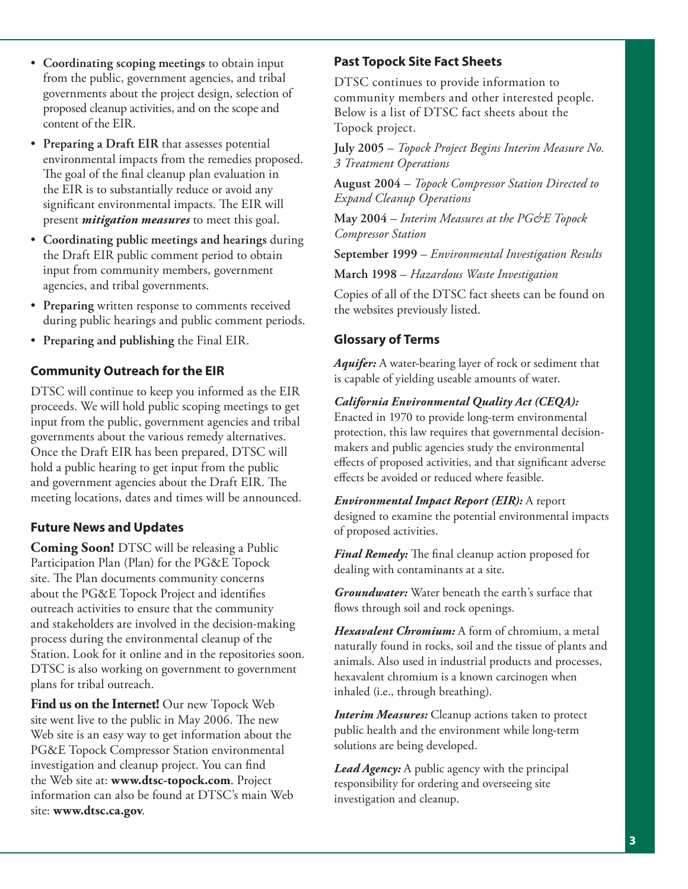- **Coordinating scoping meetings** to obtain input from the public, government agencies, and tribal governments about the project design, selection of proposed cleanup activities, and on the scope and content of the EIR.
- **Preparing a Draft EIR** that assesses potential environmental impacts from the remedies proposed. The goal of the final cleanup plan evaluation in the EIR is to substantially reduce or avoid any significant environmental impacts. The EIR will present *mitigation measures* to meet this goal.
- **Coordinating public meetings and hearings** during the Draft EIR public comment period to obtain input from community members, government agencies, and tribal governments.
- **Preparing** written response to comments received during public hearings and public comment periods.
- **Preparing and publishing** the Final EIR.

# **Community Outreach for the EIR**

DTSC will continue to keep you informed as the EIR proceeds. We will hold public scoping meetings to get input from the public, government agencies and tribal governments about the various remedy alternatives. Once the Draft EIR has been prepared, DTSC will hold a public hearing to get input from the public and government agencies about the Draft EIR. The meeting locations, dates and times will be announced.

# **Future News and Updates**

**Coming Soon!** DTSC will be releasing a Public Participation Plan (Plan) for the PG&E Topock site. The Plan documents community concerns about the PG&E Topock Project and identifies outreach activities to ensure that the community and stakeholders are involved in the decision-making process during the environmental cleanup of the Station. Look for it online and in the repositories soon. DTSC is also working on government to government plans for tribal outreach.

**Find us on the Internet!** Our new Topock Web site went live to the public in May 2006. The new Web site is an easy way to get information about the PG&E Topock Compressor Station environmental investigation and cleanup project. You can find the Web site at: **www.dtsc-topock.com**. Project information can also be found at DTSC's main Web site: **www.dtsc.ca.gov**.

# **Past Topock Site Fact Sheets**

DTSC continues to provide information to community members and other interested people. Below is a list of DTSC fact sheets about the Topock project.

**July 2005** – *Topock Project Begins Interim Measure No. 3 Treatment Operations*

**August 2004** – *Topock Compressor Station Directed to Expand Cleanup Operations*

**May 2004** – *Interim Measures at the PG&E Topock Compressor Station*

**September 1999** – *Environmental Investigation Results*

**March 1998** – *Hazardous Waste Investigation*

Copies of all of the DTSC fact sheets can be found on the websites previously listed.

# **Glossary of Terms**

*Aquifer:* A water-bearing layer of rock or sediment that is capable of yielding useable amounts of water.

### *California Environmental Quality Act (CEQA):*

Enacted in 1970 to provide long-term environmental protection, this law requires that governmental decisionmakers and public agencies study the environmental effects of proposed activities, and that significant adverse effects be avoided or reduced where feasible.

*Environmental Impact Report (EIR):* A report designed to examine the potential environmental impacts of proposed activities.

Final Remedy: The final cleanup action proposed for dealing with contaminants at a site.

*Groundwater:* Water beneath the earth's surface that flows through soil and rock openings.

*Hexavalent Chromium:* A form of chromium, a metal naturally found in rocks, soil and the tissue of plants and animals. Also used in industrial products and processes, hexavalent chromium is a known carcinogen when inhaled (i.e., through breathing).

*Interim Measures:* Cleanup actions taken to protect public health and the environment while long-term solutions are being developed.

*Lead Agency:* A public agency with the principal responsibility for ordering and overseeing site investigation and cleanup.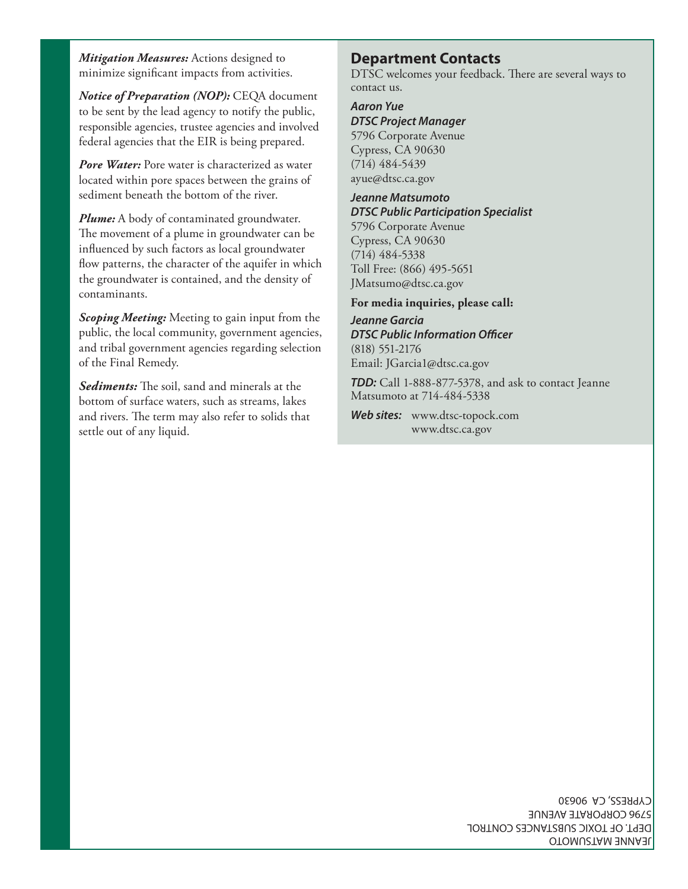*Mitigation Measures:* Actions designed to minimize significant impacts from activities.

*Notice of Preparation (NOP):* CEQA document to be sent by the lead agency to notify the public, responsible agencies, trustee agencies and involved federal agencies that the EIR is being prepared.

*Pore Water:* Pore water is characterized as water located within pore spaces between the grains of sediment beneath the bottom of the river.

*Plume:* A body of contaminated groundwater. The movement of a plume in groundwater can be influenced by such factors as local groundwater flow patterns, the character of the aquifer in which the groundwater is contained, and the density of contaminants.

*Scoping Meeting:* Meeting to gain input from the public, the local community, government agencies, and tribal government agencies regarding selection of the Final Remedy.

**Sediments:** The soil, sand and minerals at the bottom of surface waters, such as streams, lakes and rivers. The term may also refer to solids that settle out of any liquid.

# **Department Contacts**

DTSC welcomes your feedback. There are several ways to contact us.

### *Aaron Yue*

*DTSC Project Manager* 5796 Corporate Avenue Cypress, CA 90630 (714) 484-5439 ayue@dtsc.ca.gov

#### *Jeanne Matsumoto DTSC Public Participation Specialist*

5796 Corporate Avenue Cypress, CA 90630 (714) 484-5338 Toll Free: (866) 495-5651 JMatsumo@dtsc.ca.gov

### **For media inquiries, please call:**

*Jeanne Garcia* **DTSC Public Information Officer** (818) 551-2176 Email: JGarcia1@dtsc.ca.gov

*TDD:* Call 1-888-877-5378, and ask to contact Jeanne Matsumoto at 714-484-5338

*Web sites:* www.dtsc-topock.com www.dtsc.ca.gov

> JEANNE MATSUMOTO DEPT. OF TOXIC SUBSTANCES CONTROL 5796 CORPORATE AVENUE CYPRESS, CA 90630